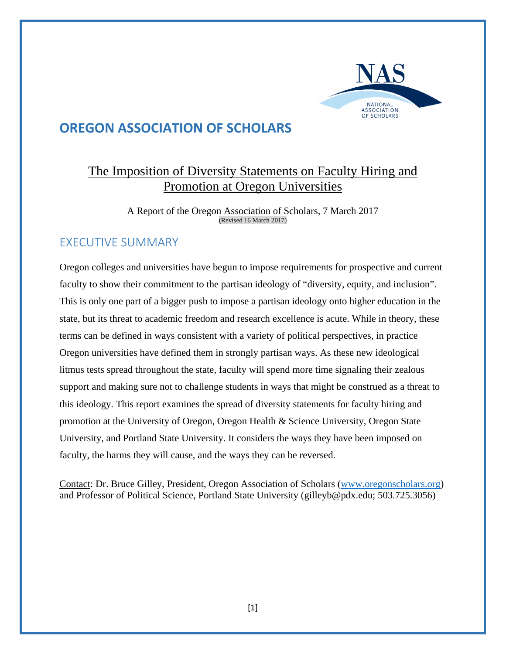

# **OREGON ASSOCIATION OF SCHOLARS**

# The Imposition of Diversity Statements on Faculty Hiring and Promotion at Oregon Universities

A Report of the Oregon Association of Scholars, 7 March 2017 (Revised 16 March 2017)

## EXECUTIVE SUMMARY

Oregon colleges and universities have begun to impose requirements for prospective and current faculty to show their commitment to the partisan ideology of "diversity, equity, and inclusion". This is only one part of a bigger push to impose a partisan ideology onto higher education in the state, but its threat to academic freedom and research excellence is acute. While in theory, these terms can be defined in ways consistent with a variety of political perspectives, in practice Oregon universities have defined them in strongly partisan ways. As these new ideological litmus tests spread throughout the state, faculty will spend more time signaling their zealous support and making sure not to challenge students in ways that might be construed as a threat to this ideology. This report examines the spread of diversity statements for faculty hiring and promotion at the University of Oregon, Oregon Health & Science University, Oregon State University, and Portland State University. It considers the ways they have been imposed on faculty, the harms they will cause, and the ways they can be reversed.

Contact: Dr. Bruce Gilley, President, Oregon Association of Scholars (www.oregonscholars.org) and Professor of Political Science, Portland State University (gilleyb@pdx.edu; 503.725.3056)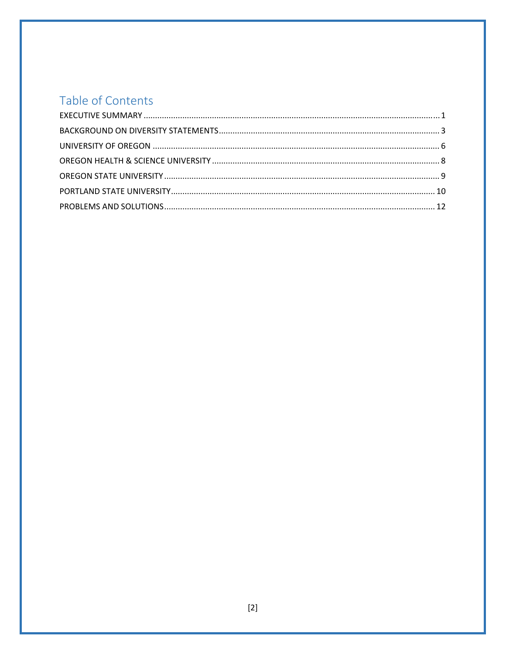# Table of Contents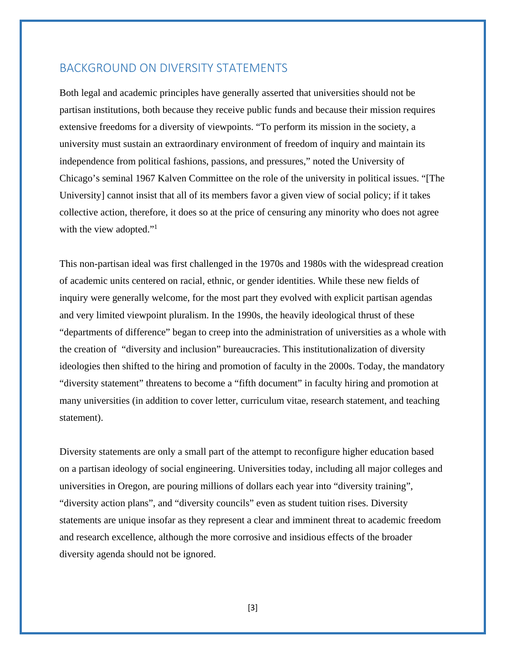#### BACKGROUND ON DIVERSITY STATEMENTS

Both legal and academic principles have generally asserted that universities should not be partisan institutions, both because they receive public funds and because their mission requires extensive freedoms for a diversity of viewpoints. "To perform its mission in the society, a university must sustain an extraordinary environment of freedom of inquiry and maintain its independence from political fashions, passions, and pressures," noted the University of Chicago's seminal 1967 Kalven Committee on the role of the university in political issues. "[The University] cannot insist that all of its members favor a given view of social policy; if it takes collective action, therefore, it does so at the price of censuring any minority who does not agree with the view adopted."<sup>1</sup>

This non-partisan ideal was first challenged in the 1970s and 1980s with the widespread creation of academic units centered on racial, ethnic, or gender identities. While these new fields of inquiry were generally welcome, for the most part they evolved with explicit partisan agendas and very limited viewpoint pluralism. In the 1990s, the heavily ideological thrust of these "departments of difference" began to creep into the administration of universities as a whole with the creation of "diversity and inclusion" bureaucracies. This institutionalization of diversity ideologies then shifted to the hiring and promotion of faculty in the 2000s. Today, the mandatory "diversity statement" threatens to become a "fifth document" in faculty hiring and promotion at many universities (in addition to cover letter, curriculum vitae, research statement, and teaching statement).

Diversity statements are only a small part of the attempt to reconfigure higher education based on a partisan ideology of social engineering. Universities today, including all major colleges and universities in Oregon, are pouring millions of dollars each year into "diversity training", "diversity action plans", and "diversity councils" even as student tuition rises. Diversity statements are unique insofar as they represent a clear and imminent threat to academic freedom and research excellence, although the more corrosive and insidious effects of the broader diversity agenda should not be ignored.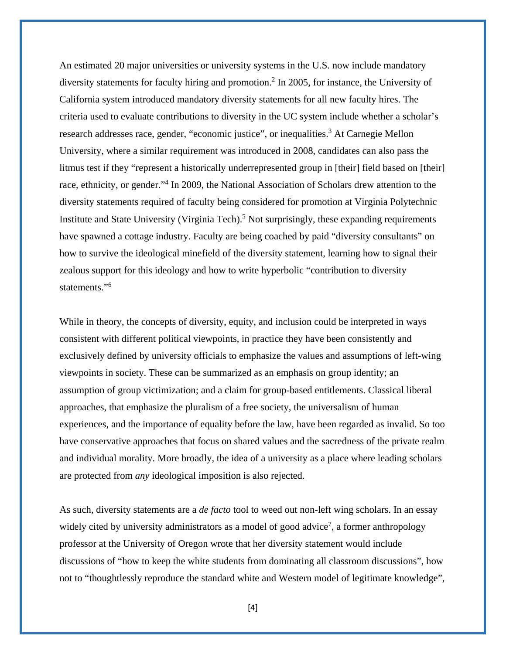An estimated 20 major universities or university systems in the U.S. now include mandatory diversity statements for faculty hiring and promotion.<sup>2</sup> In 2005, for instance, the University of California system introduced mandatory diversity statements for all new faculty hires. The criteria used to evaluate contributions to diversity in the UC system include whether a scholar's research addresses race, gender, "economic justice", or inequalities.<sup>3</sup> At Carnegie Mellon University, where a similar requirement was introduced in 2008, candidates can also pass the litmus test if they "represent a historically underrepresented group in [their] field based on [their] race, ethnicity, or gender."<sup>4</sup> In 2009, the National Association of Scholars drew attention to the diversity statements required of faculty being considered for promotion at Virginia Polytechnic Institute and State University (Virginia Tech).<sup>5</sup> Not surprisingly, these expanding requirements have spawned a cottage industry. Faculty are being coached by paid "diversity consultants" on how to survive the ideological minefield of the diversity statement, learning how to signal their zealous support for this ideology and how to write hyperbolic "contribution to diversity statements."6

While in theory, the concepts of diversity, equity, and inclusion could be interpreted in ways consistent with different political viewpoints, in practice they have been consistently and exclusively defined by university officials to emphasize the values and assumptions of left-wing viewpoints in society. These can be summarized as an emphasis on group identity; an assumption of group victimization; and a claim for group-based entitlements. Classical liberal approaches, that emphasize the pluralism of a free society, the universalism of human experiences, and the importance of equality before the law, have been regarded as invalid. So too have conservative approaches that focus on shared values and the sacredness of the private realm and individual morality. More broadly, the idea of a university as a place where leading scholars are protected from *any* ideological imposition is also rejected.

As such, diversity statements are a *de facto* tool to weed out non-left wing scholars. In an essay widely cited by university administrators as a model of good advice<sup>7</sup>, a former anthropology professor at the University of Oregon wrote that her diversity statement would include discussions of "how to keep the white students from dominating all classroom discussions", how not to "thoughtlessly reproduce the standard white and Western model of legitimate knowledge",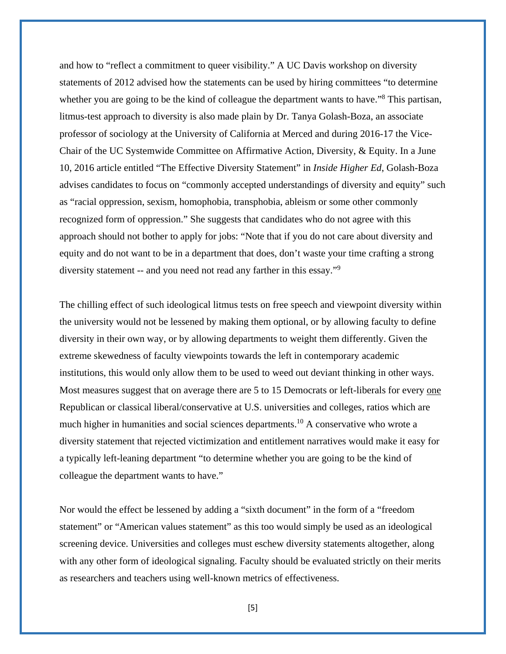and how to "reflect a commitment to queer visibility." A UC Davis workshop on diversity statements of 2012 advised how the statements can be used by hiring committees "to determine whether you are going to be the kind of colleague the department wants to have."<sup>8</sup> This partisan, litmus-test approach to diversity is also made plain by Dr. Tanya Golash-Boza, an associate professor of sociology at the University of California at Merced and during 2016-17 the Vice-Chair of the UC Systemwide Committee on Affirmative Action, Diversity, & Equity. In a June 10, 2016 article entitled "The Effective Diversity Statement" in *Inside Higher Ed*, Golash-Boza advises candidates to focus on "commonly accepted understandings of diversity and equity" such as "racial oppression, sexism, homophobia, transphobia, ableism or some other commonly recognized form of oppression." She suggests that candidates who do not agree with this approach should not bother to apply for jobs: "Note that if you do not care about diversity and equity and do not want to be in a department that does, don't waste your time crafting a strong diversity statement -- and you need not read any farther in this essay."<sup>9</sup>

The chilling effect of such ideological litmus tests on free speech and viewpoint diversity within the university would not be lessened by making them optional, or by allowing faculty to define diversity in their own way, or by allowing departments to weight them differently. Given the extreme skewedness of faculty viewpoints towards the left in contemporary academic institutions, this would only allow them to be used to weed out deviant thinking in other ways. Most measures suggest that on average there are 5 to 15 Democrats or left-liberals for every one Republican or classical liberal/conservative at U.S. universities and colleges, ratios which are much higher in humanities and social sciences departments.<sup>10</sup> A conservative who wrote a diversity statement that rejected victimization and entitlement narratives would make it easy for a typically left-leaning department "to determine whether you are going to be the kind of colleague the department wants to have."

Nor would the effect be lessened by adding a "sixth document" in the form of a "freedom statement" or "American values statement" as this too would simply be used as an ideological screening device. Universities and colleges must eschew diversity statements altogether, along with any other form of ideological signaling. Faculty should be evaluated strictly on their merits as researchers and teachers using well-known metrics of effectiveness.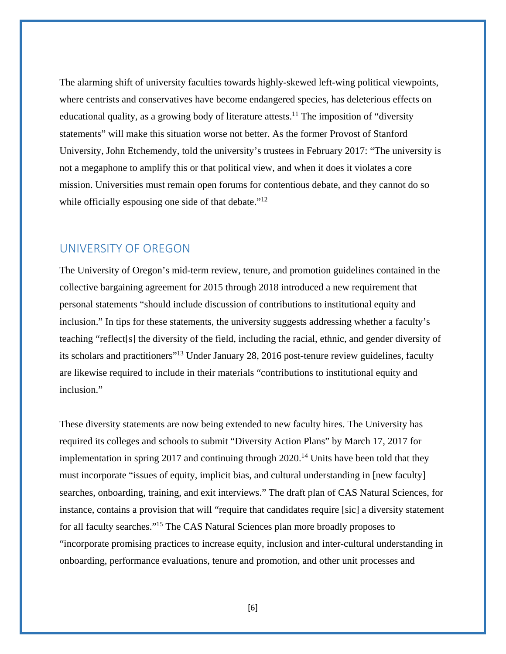The alarming shift of university faculties towards highly-skewed left-wing political viewpoints, where centrists and conservatives have become endangered species, has deleterious effects on educational quality, as a growing body of literature attests.<sup>11</sup> The imposition of "diversity" statements" will make this situation worse not better. As the former Provost of Stanford University, John Etchemendy, told the university's trustees in February 2017: "The university is not a megaphone to amplify this or that political view, and when it does it violates a core mission. Universities must remain open forums for contentious debate, and they cannot do so while officially espousing one side of that debate."<sup>12</sup>

#### UNIVERSITY OF OREGON

The University of Oregon's mid-term review, tenure, and promotion guidelines contained in the collective bargaining agreement for 2015 through 2018 introduced a new requirement that personal statements "should include discussion of contributions to institutional equity and inclusion." In tips for these statements, the university suggests addressing whether a faculty's teaching "reflect[s] the diversity of the field, including the racial, ethnic, and gender diversity of its scholars and practitioners"13 Under January 28, 2016 post-tenure review guidelines, faculty are likewise required to include in their materials "contributions to institutional equity and inclusion."

These diversity statements are now being extended to new faculty hires. The University has required its colleges and schools to submit "Diversity Action Plans" by March 17, 2017 for implementation in spring 2017 and continuing through  $2020$ .<sup>14</sup> Units have been told that they must incorporate "issues of equity, implicit bias, and cultural understanding in [new faculty] searches, onboarding, training, and exit interviews." The draft plan of CAS Natural Sciences, for instance, contains a provision that will "require that candidates require [sic] a diversity statement for all faculty searches."15 The CAS Natural Sciences plan more broadly proposes to "incorporate promising practices to increase equity, inclusion and inter-cultural understanding in onboarding, performance evaluations, tenure and promotion, and other unit processes and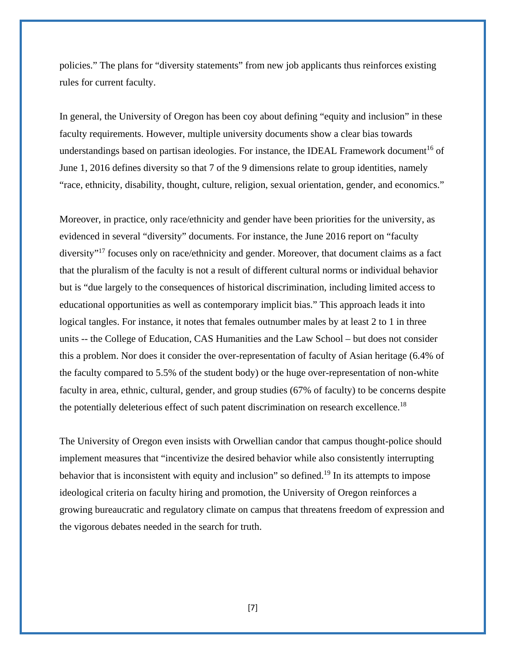policies." The plans for "diversity statements" from new job applicants thus reinforces existing rules for current faculty.

In general, the University of Oregon has been coy about defining "equity and inclusion" in these faculty requirements. However, multiple university documents show a clear bias towards understandings based on partisan ideologies. For instance, the IDEAL Framework document<sup>16</sup> of June 1, 2016 defines diversity so that 7 of the 9 dimensions relate to group identities, namely "race, ethnicity, disability, thought, culture, religion, sexual orientation, gender, and economics."

Moreover, in practice, only race/ethnicity and gender have been priorities for the university, as evidenced in several "diversity" documents. For instance, the June 2016 report on "faculty diversity"<sup>17</sup> focuses only on race/ethnicity and gender. Moreover, that document claims as a fact that the pluralism of the faculty is not a result of different cultural norms or individual behavior but is "due largely to the consequences of historical discrimination, including limited access to educational opportunities as well as contemporary implicit bias." This approach leads it into logical tangles. For instance, it notes that females outnumber males by at least 2 to 1 in three units -- the College of Education, CAS Humanities and the Law School – but does not consider this a problem. Nor does it consider the over-representation of faculty of Asian heritage (6.4% of the faculty compared to 5.5% of the student body) or the huge over-representation of non-white faculty in area, ethnic, cultural, gender, and group studies (67% of faculty) to be concerns despite the potentially deleterious effect of such patent discrimination on research excellence.<sup>18</sup>

The University of Oregon even insists with Orwellian candor that campus thought-police should implement measures that "incentivize the desired behavior while also consistently interrupting behavior that is inconsistent with equity and inclusion" so defined.<sup>19</sup> In its attempts to impose ideological criteria on faculty hiring and promotion, the University of Oregon reinforces a growing bureaucratic and regulatory climate on campus that threatens freedom of expression and the vigorous debates needed in the search for truth.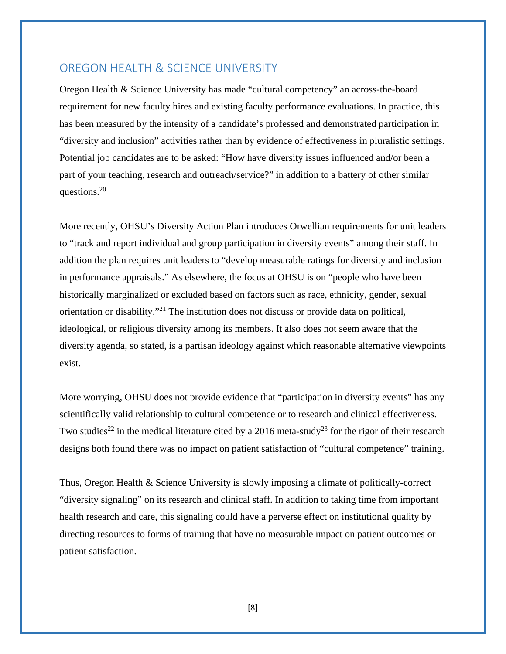#### OREGON HEALTH & SCIENCE UNIVERSITY

Oregon Health & Science University has made "cultural competency" an across-the-board requirement for new faculty hires and existing faculty performance evaluations. In practice, this has been measured by the intensity of a candidate's professed and demonstrated participation in "diversity and inclusion" activities rather than by evidence of effectiveness in pluralistic settings. Potential job candidates are to be asked: "How have diversity issues influenced and/or been a part of your teaching, research and outreach/service?" in addition to a battery of other similar questions.20

More recently, OHSU's Diversity Action Plan introduces Orwellian requirements for unit leaders to "track and report individual and group participation in diversity events" among their staff. In addition the plan requires unit leaders to "develop measurable ratings for diversity and inclusion in performance appraisals." As elsewhere, the focus at OHSU is on "people who have been historically marginalized or excluded based on factors such as race, ethnicity, gender, sexual orientation or disability."21 The institution does not discuss or provide data on political, ideological, or religious diversity among its members. It also does not seem aware that the diversity agenda, so stated, is a partisan ideology against which reasonable alternative viewpoints exist.

More worrying, OHSU does not provide evidence that "participation in diversity events" has any scientifically valid relationship to cultural competence or to research and clinical effectiveness. Two studies<sup>22</sup> in the medical literature cited by a 2016 meta-study<sup>23</sup> for the rigor of their research designs both found there was no impact on patient satisfaction of "cultural competence" training.

Thus, Oregon Health & Science University is slowly imposing a climate of politically-correct "diversity signaling" on its research and clinical staff. In addition to taking time from important health research and care, this signaling could have a perverse effect on institutional quality by directing resources to forms of training that have no measurable impact on patient outcomes or patient satisfaction.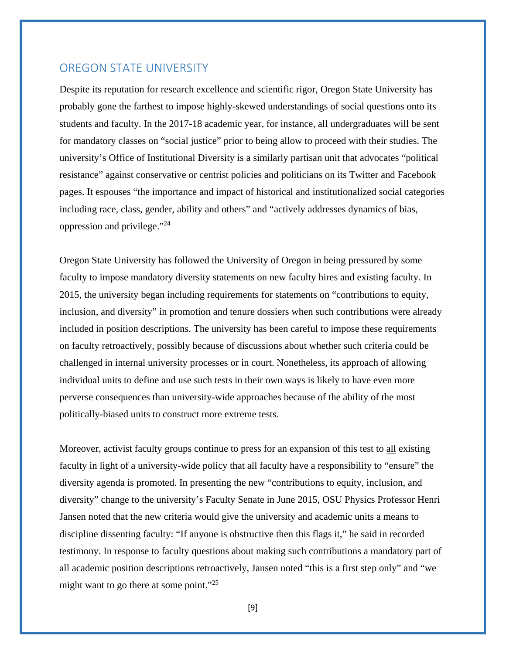#### OREGON STATE UNIVERSITY

Despite its reputation for research excellence and scientific rigor, Oregon State University has probably gone the farthest to impose highly-skewed understandings of social questions onto its students and faculty. In the 2017-18 academic year, for instance, all undergraduates will be sent for mandatory classes on "social justice" prior to being allow to proceed with their studies. The university's Office of Institutional Diversity is a similarly partisan unit that advocates "political resistance" against conservative or centrist policies and politicians on its Twitter and Facebook pages. It espouses "the importance and impact of historical and institutionalized social categories including race, class, gender, ability and others" and "actively addresses dynamics of bias, oppression and privilege."24

Oregon State University has followed the University of Oregon in being pressured by some faculty to impose mandatory diversity statements on new faculty hires and existing faculty. In 2015, the university began including requirements for statements on "contributions to equity, inclusion, and diversity" in promotion and tenure dossiers when such contributions were already included in position descriptions. The university has been careful to impose these requirements on faculty retroactively, possibly because of discussions about whether such criteria could be challenged in internal university processes or in court. Nonetheless, its approach of allowing individual units to define and use such tests in their own ways is likely to have even more perverse consequences than university-wide approaches because of the ability of the most politically-biased units to construct more extreme tests.

Moreover, activist faculty groups continue to press for an expansion of this test to all existing faculty in light of a university-wide policy that all faculty have a responsibility to "ensure" the diversity agenda is promoted. In presenting the new "contributions to equity, inclusion, and diversity" change to the university's Faculty Senate in June 2015, OSU Physics Professor Henri Jansen noted that the new criteria would give the university and academic units a means to discipline dissenting faculty: "If anyone is obstructive then this flags it," he said in recorded testimony. In response to faculty questions about making such contributions a mandatory part of all academic position descriptions retroactively, Jansen noted "this is a first step only" and "we might want to go there at some point."<sup>25</sup>

[9]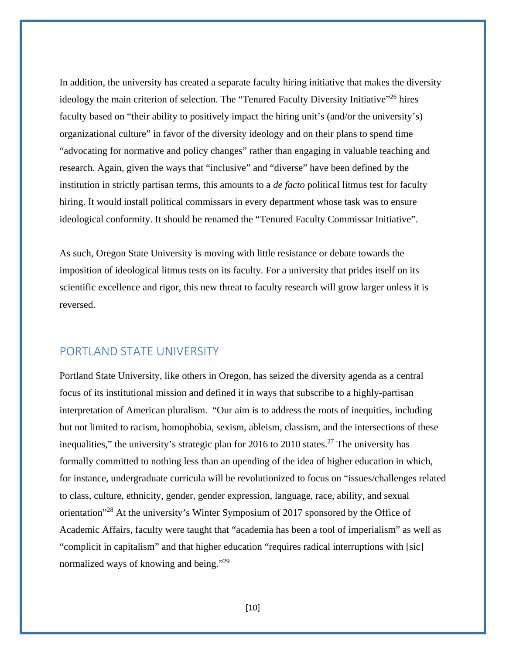In addition, the university has created a separate faculty hiring initiative that makes the diversity ideology the main criterion of selection. The "Tenured Faculty Diversity Initiative"<sup>26</sup> hires faculty based on "their ability to positively impact the hiring unit's (and/or the university's) organizational culture" in favor of the diversity ideology and on their plans to spend time "advocating for normative and policy changes" rather than engaging in valuable teaching and research. Again, given the ways that "inclusive" and "diverse" have been defined by the institution in strictly partisan terms, this amounts to a *de facto* political litmus test for faculty hiring. It would install political commissars in every department whose task was to ensure ideological conformity. It should be renamed the "Tenured Faculty Commissar Initiative".

As such, Oregon State University is moving with little resistance or debate towards the imposition of ideological litmus tests on its faculty. For a university that prides itself on its scientific excellence and rigor, this new threat to faculty research will grow larger unless it is reversed.

#### PORTLAND STATE UNIVERSITY

Portland State University, like others in Oregon, has seized the diversity agenda as a central focus of its institutional mission and defined it in ways that subscribe to a highly-partisan interpretation of American pluralism. "Our aim is to address the roots of inequities, including but not limited to racism, homophobia, sexism, ableism, classism, and the intersections of these inequalities," the university's strategic plan for 2016 to 2010 states.<sup>27</sup> The university has formally committed to nothing less than an upending of the idea of higher education in which, for instance, undergraduate curricula will be revolutionized to focus on "issues/challenges related to class, culture, ethnicity, gender, gender expression, language, race, ability, and sexual orientation"28 At the university's Winter Symposium of 2017 sponsored by the Office of Academic Affairs, faculty were taught that "academia has been a tool of imperialism" as well as "complicit in capitalism" and that higher education "requires radical interruptions with [sic] normalized ways of knowing and being."<sup>29</sup>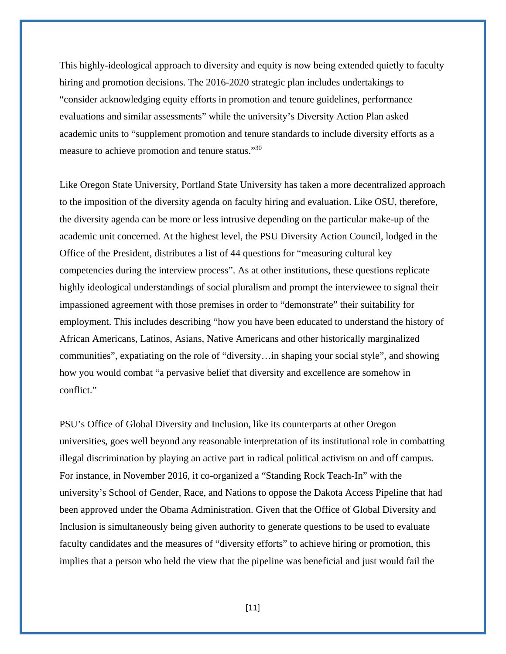This highly-ideological approach to diversity and equity is now being extended quietly to faculty hiring and promotion decisions. The 2016-2020 strategic plan includes undertakings to "consider acknowledging equity efforts in promotion and tenure guidelines, performance evaluations and similar assessments" while the university's Diversity Action Plan asked academic units to "supplement promotion and tenure standards to include diversity efforts as a measure to achieve promotion and tenure status."30

Like Oregon State University, Portland State University has taken a more decentralized approach to the imposition of the diversity agenda on faculty hiring and evaluation. Like OSU, therefore, the diversity agenda can be more or less intrusive depending on the particular make-up of the academic unit concerned. At the highest level, the PSU Diversity Action Council, lodged in the Office of the President, distributes a list of 44 questions for "measuring cultural key competencies during the interview process". As at other institutions, these questions replicate highly ideological understandings of social pluralism and prompt the interviewee to signal their impassioned agreement with those premises in order to "demonstrate" their suitability for employment. This includes describing "how you have been educated to understand the history of African Americans, Latinos, Asians, Native Americans and other historically marginalized communities", expatiating on the role of "diversity…in shaping your social style", and showing how you would combat "a pervasive belief that diversity and excellence are somehow in conflict."

PSU's Office of Global Diversity and Inclusion, like its counterparts at other Oregon universities, goes well beyond any reasonable interpretation of its institutional role in combatting illegal discrimination by playing an active part in radical political activism on and off campus. For instance, in November 2016, it co-organized a "Standing Rock Teach-In" with the university's School of Gender, Race, and Nations to oppose the Dakota Access Pipeline that had been approved under the Obama Administration. Given that the Office of Global Diversity and Inclusion is simultaneously being given authority to generate questions to be used to evaluate faculty candidates and the measures of "diversity efforts" to achieve hiring or promotion, this implies that a person who held the view that the pipeline was beneficial and just would fail the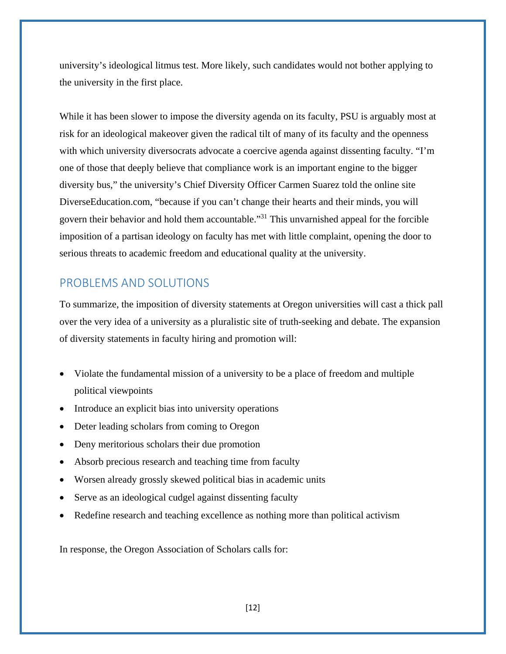university's ideological litmus test. More likely, such candidates would not bother applying to the university in the first place.

While it has been slower to impose the diversity agenda on its faculty, PSU is arguably most at risk for an ideological makeover given the radical tilt of many of its faculty and the openness with which university diversocrats advocate a coercive agenda against dissenting faculty. "I'm one of those that deeply believe that compliance work is an important engine to the bigger diversity bus," the university's Chief Diversity Officer Carmen Suarez told the online site DiverseEducation.com, "because if you can't change their hearts and their minds, you will govern their behavior and hold them accountable."31 This unvarnished appeal for the forcible imposition of a partisan ideology on faculty has met with little complaint, opening the door to serious threats to academic freedom and educational quality at the university.

## PROBLEMS AND SOLUTIONS

To summarize, the imposition of diversity statements at Oregon universities will cast a thick pall over the very idea of a university as a pluralistic site of truth-seeking and debate. The expansion of diversity statements in faculty hiring and promotion will:

- Violate the fundamental mission of a university to be a place of freedom and multiple political viewpoints
- Introduce an explicit bias into university operations
- Deter leading scholars from coming to Oregon
- Deny meritorious scholars their due promotion
- Absorb precious research and teaching time from faculty
- Worsen already grossly skewed political bias in academic units
- Serve as an ideological cudgel against dissenting faculty
- Redefine research and teaching excellence as nothing more than political activism

In response, the Oregon Association of Scholars calls for: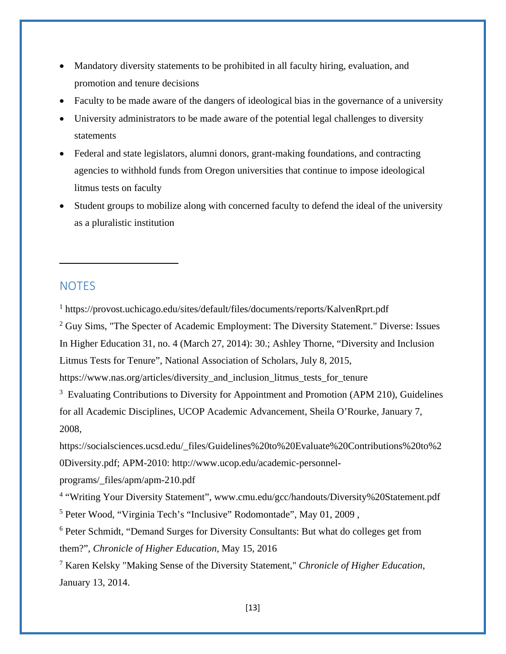- Mandatory diversity statements to be prohibited in all faculty hiring, evaluation, and promotion and tenure decisions
- Faculty to be made aware of the dangers of ideological bias in the governance of a university
- University administrators to be made aware of the potential legal challenges to diversity statements
- Federal and state legislators, alumni donors, grant-making foundations, and contracting agencies to withhold funds from Oregon universities that continue to impose ideological litmus tests on faculty
- Student groups to mobilize along with concerned faculty to defend the ideal of the university as a pluralistic institution

#### **NOTES**

1 https://provost.uchicago.edu/sites/default/files/documents/reports/KalvenRprt.pdf

<sup>2</sup> Guy Sims, "The Specter of Academic Employment: The Diversity Statement." Diverse: Issues In Higher Education 31, no. 4 (March 27, 2014): 30.; Ashley Thorne, "Diversity and Inclusion Litmus Tests for Tenure", National Association of Scholars, July 8, 2015,

https://www.nas.org/articles/diversity and inclusion litmus tests for tenure

<sup>3</sup> Evaluating Contributions to Diversity for Appointment and Promotion (APM 210), Guidelines for all Academic Disciplines, UCOP Academic Advancement, Sheila O'Rourke, January 7, 2008,

https://socialsciences.ucsd.edu/\_files/Guidelines%20to%20Evaluate%20Contributions%20to%2 0Diversity.pdf; APM-2010: http://www.ucop.edu/academic-personnel-

programs/\_files/apm/apm-210.pdf

<sup>4</sup> "Writing Your Diversity Statement", www.cmu.edu/gcc/handouts/Diversity%20Statement.pdf <sup>5</sup> Peter Wood, "Virginia Tech's "Inclusive" Rodomontade", May 01, 2009,

<sup>6</sup> Peter Schmidt, "Demand Surges for Diversity Consultants: But what do colleges get from them?", *Chronicle of Higher Education*, May 15, 2016

7 Karen Kelsky "Making Sense of the Diversity Statement," *Chronicle of Higher Education*, January 13, 2014.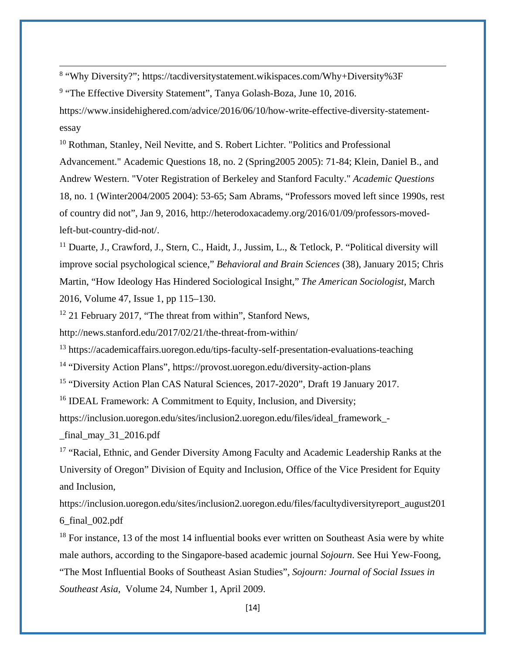<sup>8</sup> "Why Diversity?"; https://tacdiversitystatement.wikispaces.com/Why+Diversity%3F

<sup>9</sup> "The Effective Diversity Statement", Tanya Golash-Boza, June 10, 2016.

https://www.insidehighered.com/advice/2016/06/10/how-write-effective-diversity-statementessay

<u> Andrewski politika (za obrazu za obrazu za obrazu za obrazu za obrazu za obrazu za obrazu za obrazu za obrazu</u>

<sup>10</sup> Rothman, Stanley, Neil Nevitte, and S. Robert Lichter. "Politics and Professional Advancement." Academic Questions 18, no. 2 (Spring2005 2005): 71-84; Klein, Daniel B., and Andrew Western. "Voter Registration of Berkeley and Stanford Faculty." *Academic Questions* 18, no. 1 (Winter2004/2005 2004): 53-65; Sam Abrams, "Professors moved left since 1990s, rest of country did not", Jan 9, 2016, http://heterodoxacademy.org/2016/01/09/professors-movedleft-but-country-did-not/.

<sup>11</sup> Duarte, J., Crawford, J., Stern, C., Haidt, J., Jussim, L., & Tetlock, P. "Political diversity will improve social psychological science," *Behavioral and Brain Sciences* (38), January 2015; Chris Martin, "How Ideology Has Hindered Sociological Insight," *The American Sociologist*, March 2016, Volume 47, Issue 1, pp 115–130.

<sup>12</sup> 21 February 2017, "The threat from within", Stanford News,

http://news.stanford.edu/2017/02/21/the-threat-from-within/

<sup>13</sup> https://academicaffairs.uoregon.edu/tips-faculty-self-presentation-evaluations-teaching

14 "Diversity Action Plans", https://provost.uoregon.edu/diversity-action-plans

15 "Diversity Action Plan CAS Natural Sciences, 2017-2020", Draft 19 January 2017.

<sup>16</sup> IDEAL Framework: A Commitment to Equity, Inclusion, and Diversity;

https://inclusion.uoregon.edu/sites/inclusion2.uoregon.edu/files/ideal\_framework\_-

\_final\_may\_31\_2016.pdf

<sup>17</sup> "Racial, Ethnic, and Gender Diversity Among Faculty and Academic Leadership Ranks at the University of Oregon" Division of Equity and Inclusion, Office of the Vice President for Equity and Inclusion,

https://inclusion.uoregon.edu/sites/inclusion2.uoregon.edu/files/facultydiversityreport\_august201 6\_final\_002.pdf

 $18$  For instance, 13 of the most 14 influential books ever written on Southeast Asia were by white male authors, according to the Singapore-based academic journal *Sojourn*. See Hui Yew-Foong, "The Most Influential Books of Southeast Asian Studies", *Sojourn: Journal of Social Issues in Southeast Asia*, Volume 24, Number 1, April 2009.